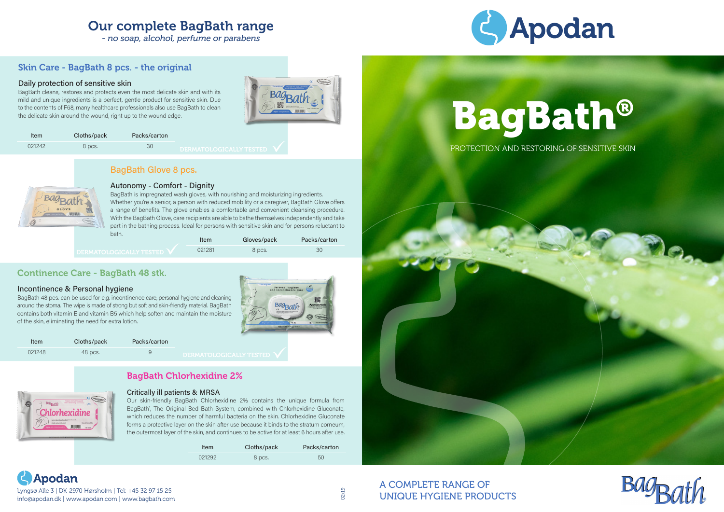# **Apodan** Lyngsø Alle 3 | DK-2970 Hørsholm | Tel: +45 32 97 15 25

info@apodan.dk | www.apodan.com | www.bagbath.com



# PROTECTION AND RESTORING OF SENSITIVE SKIN



# BagBath®

# Our complete BagBath range

*- no soap, alcohol, perfume or parabens*



| Item   | Cloths/pack | Packs/carton |
|--------|-------------|--------------|
| 021292 | 8 pcs.      | 50           |

# BagBath Chlorhexidine 2%



### Critically ill patients & MRSA

Our skin-friendly BagBath Chlorhexidine 2% contains the unique formula from BagBath® , The Original Bed Bath System, combined with Chlorhexidine Gluconate, which reduces the number of harmful bacteria on the skin. Chlorhexidine Gluconate forms a protective layer on the skin after use because it binds to the stratum corneum, the outermost layer of the skin, and continues to be active for at least 6 hours after use.

# Skin Care - BagBath 8 pcs. - the original

### Daily protection of sensitive skin

BagBath cleans, restores and protects even the most delicate skin and with its mild and unique ingredients is a perfect, gentle product for sensitive skin. Due to the contents of F68, many healthcare professionals also use BagBath to clean the delicate skin around the wound, right up to the wound edge.





# Continence Care - BagBath 48 stk.

### Incontinence & Personal hygiene

BagBath 48 pcs. can be used for e.g. incontinence care, personal hygiene and cleaning around the stoma. The wipe is made of strong but soft and skin-friendly material. BagBath contains both vitamin E and vitamin B5 which help soften and maintain the moisture of the skin, eliminating the need for extra lotion.

# BagBath Glove 8 pcs.



### Autonomy - Comfort - Dignity

| bath.                     | Item   | Gloves/pack | Packs/carton |
|---------------------------|--------|-------------|--------------|
| I DERMATOLOGICALLY TESTED | 021281 | 8 pcs.      | ЗC           |

BagBath is impregnated wash gloves, with nourishing and moisturizing ingredients. Whether you're a senior, a person with reduced mobility or a caregiver, BagBath Glove offers a range of benefits. The glove enables a comfortable and convenient cleansing procedure. With the BagBath Glove, care recipients are able to bathe themselves independently and take part in the bathing process. Ideal for persons with sensitive skin and for persons reluctant to

| Item   | Cloths/pack | Packs/carton |                                                              |
|--------|-------------|--------------|--------------------------------------------------------------|
| 021242 | 8 pcs.      | 30           | <b>BRBLARAL ACTA LIVERARDB</b><br>FUEKIYIATULUULUALLI TESTEU |

02/19

# A COMPLETE RANGE OF UNIQUE HYGIENE PRODUCTS